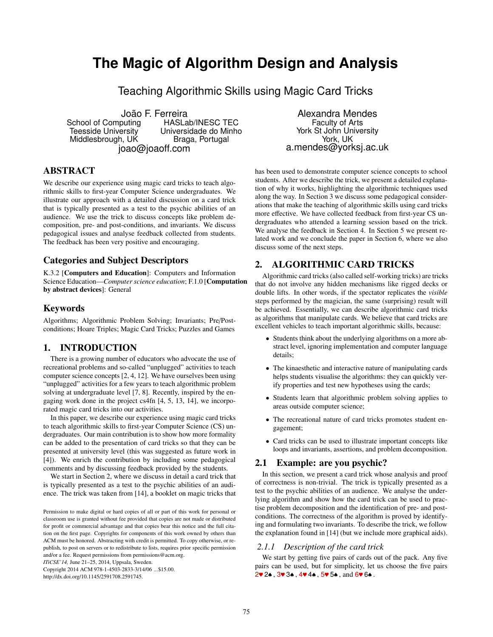# **The Magic of Algorithm Design and Analysis**

Teaching Algorithmic Skills using Magic Card Tricks

School of Computing Teesside University Middlesbrough, UK

João F. Ferreira HASLab/INESC TEC Universidade do Minho Braga, Portugal joao@joaoff.com

# ABSTRACT

We describe our experience using magic card tricks to teach algorithmic skills to first-year Computer Science undergraduates. We illustrate our approach with a detailed discussion on a card trick that is typically presented as a test to the psychic abilities of an audience. We use the trick to discuss concepts like problem decomposition, pre- and post-conditions, and invariants. We discuss pedagogical issues and analyse feedback collected from students. The feedback has been very positive and encouraging.

# Categories and Subject Descriptors

K.3.2 [Computers and Education]: Computers and Information Science Education—*Computer science education*; F.1.0 [Computation by abstract devices]: General

# Keywords

Algorithms; Algorithmic Problem Solving; Invariants; Pre/Postconditions; Hoare Triples; Magic Card Tricks; Puzzles and Games

### 1. INTRODUCTION

There is a growing number of educators who advocate the use of recreational problems and so-called "unplugged" activities to teach computer science concepts [2, 4, 12]. We have ourselves been using "unplugged" activities for a few years to teach algorithmic problem solving at undergraduate level [7, 8]. Recently, inspired by the engaging work done in the project cs4fn [4, 5, 13, 14], we incorporated magic card tricks into our activities.

In this paper, we describe our experience using magic card tricks to teach algorithmic skills to first-year Computer Science (CS) undergraduates. Our main contribution is to show how more formality can be added to the presentation of card tricks so that they can be presented at university level (this was suggested as future work in [4]). We enrich the contribution by including some pedagogical comments and by discussing feedback provided by the students.

We start in Section 2, where we discuss in detail a card trick that is typically presented as a test to the psychic abilities of an audience. The trick was taken from [14], a booklet on magic tricks that

*ITiCSE'14,* June 21–25, 2014, Uppsala, Sweden.

Copyright 2014 ACM 978-1-4503-2833-3/14/06 ...\$15.00.

http://dx.doi.org/10.1145/2591708.2591745.

Alexandra Mendes Faculty of Arts York St John University York, UK a.mendes@yorksj.ac.uk

has been used to demonstrate computer science concepts to school students. After we describe the trick, we present a detailed explanation of why it works, highlighting the algorithmic techniques used along the way. In Section 3 we discuss some pedagogical considerations that make the teaching of algorithmic skills using card tricks more effective. We have collected feedback from first-year CS undergraduates who attended a learning session based on the trick. We analyse the feedback in Section 4. In Section 5 we present related work and we conclude the paper in Section 6, where we also discuss some of the next steps.

# 2. ALGORITHMIC CARD TRICKS

Algorithmic card tricks (also called self-working tricks) are tricks that do not involve any hidden mechanisms like rigged decks or double lifts. In other words, if the spectator replicates the *visible* steps performed by the magician, the same (surprising) result will be achieved. Essentially, we can describe algorithmic card tricks as algorithms that manipulate cards. We believe that card tricks are excellent vehicles to teach important algorithmic skills, because:

- Students think about the underlying algorithms on a more abstract level, ignoring implementation and computer language details;
- The kinaesthetic and interactive nature of manipulating cards helps students visualise the algorithms: they can quickly verify properties and test new hypotheses using the cards;
- Students learn that algorithmic problem solving applies to areas outside computer science;
- The recreational nature of card tricks promotes student engagement;
- Card tricks can be used to illustrate important concepts like loops and invariants, assertions, and problem decomposition.

### 2.1 Example: are you psychic?

In this section, we present a card trick whose analysis and proof of correctness is non-trivial. The trick is typically presented as a test to the psychic abilities of an audience. We analyse the underlying algorithm and show how the card trick can be used to practise problem decomposition and the identification of pre- and postconditions. The correctness of the algorithm is proved by identifying and formulating two invariants. To describe the trick, we follow the explanation found in [14] (but we include more graphical aids).

#### *2.1.1 Description of the card trick*

We start by getting five pairs of cards out of the pack. Any five pairs can be used, but for simplicity, let us choose the five pairs 2♥ 2♦, 3♥ 3♦, 4♥ 4♦, 5♥ 5♦, and 6♥ 6♦.

Permission to make digital or hard copies of all or part of this work for personal or classroom use is granted without fee provided that copies are not made or distributed for profit or commercial advantage and that copies bear this notice and the full citation on the first page. Copyrights for components of this work owned by others than ACM must be honored. Abstracting with credit is permitted. To copy otherwise, or republish, to post on servers or to redistribute to lists, requires prior specific permission and/or a fee. Request permissions from permissions@acm.org.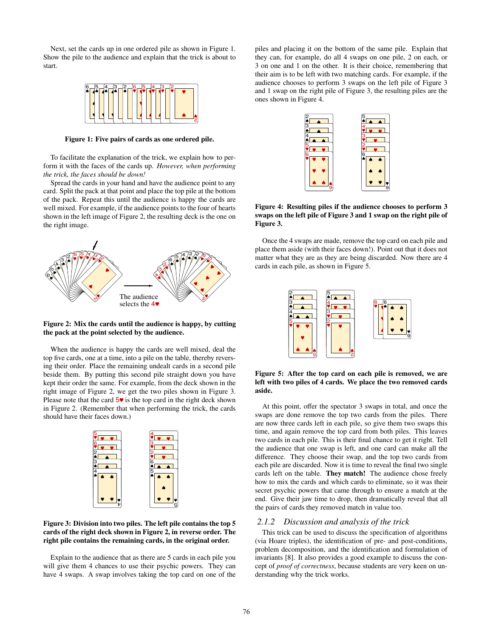Next, set the cards up in one ordered pile as shown in Figure 1. Show the pile to the audience and explain that the trick is about to start.



Figure 1: Five pairs of cards as one ordered pile.

To facilitate the explanation of the trick, we explain how to perform it with the faces of the cards up. *However, when performing the trick, the faces should be down!*

Spread the cards in your hand and have the audience point to any card. Split the pack at that point and place the top pile at the bottom of the pack. Repeat this until the audience is happy the cards are well mixed. For example, if the audience points to the four of hearts shown in the left image of Figure 2, the resulting deck is the one on the right image.



Figure 2: Mix the cards until the audience is happy, by cutting the pack at the point selected by the audience.

When the audience is happy the cards are well mixed, deal the top five cards, one at a time, into a pile on the table, thereby reversing their order. Place the remaining undealt cards in a second pile beside them. By putting this second pile straight down you have kept their order the same. For example, from the deck shown in the right image of Figure 2, we get the two piles shown in Figure 3. Please note that the card  $5\vee$  is the top card in the right deck shown in Figure 2. (Remember that when performing the trick, the cards should have their faces down.)



Figure 3: Division into two piles. The left pile contains the top 5 cards of the right deck shown in Figure 2, in reverse order. The right pile contains the remaining cards, in the original order.

Explain to the audience that as there are 5 cards in each pile you will give them 4 chances to use their psychic powers. They can have 4 swaps. A swap involves taking the top card on one of the piles and placing it on the bottom of the same pile. Explain that they can, for example, do all 4 swaps on one pile, 2 on each, or 3 on one and 1 on the other. It is their choice, remembering that their aim is to be left with two matching cards. For example, if the audience chooses to perform 3 swaps on the left pile of Figure 3 and 1 swap on the right pile of Figure 3, the resulting piles are the ones shown in Figure 4.



Figure 4: Resulting piles if the audience chooses to perform 3 swaps on the left pile of Figure 3 and 1 swap on the right pile of Figure 3.

Once the 4 swaps are made, remove the top card on each pile and place them aside (with their faces down!). Point out that it does not matter what they are as they are being discarded. Now there are 4 cards in each pile, as shown in Figure 5.



Figure 5: After the top card on each pile is removed, we are left with two piles of 4 cards. We place the two removed cards aside.

At this point, offer the spectator 3 swaps in total, and once the swaps are done remove the top two cards from the piles. There are now three cards left in each pile, so give them two swaps this time, and again remove the top card from both piles. This leaves two cards in each pile. This is their final chance to get it right. Tell the audience that one swap is left, and one card can make all the difference. They choose their swap, and the top two cards from each pile are discarded. Now it is time to reveal the final two single cards left on the table. They match! The audience chose freely how to mix the cards and which cards to eliminate, so it was their secret psychic powers that came through to ensure a match at the end. Give their jaw time to drop, then dramatically reveal that all the pairs of cards they removed match in value too.

#### *2.1.2 Discussion and analysis of the trick*

This trick can be used to discuss the specification of algorithms (via Hoare triples), the identification of pre- and post-conditions, problem decomposition, and the identification and formulation of invariants [8]. It also provides a good example to discuss the concept of *proof of correctness*, because students are very keen on understanding why the trick works.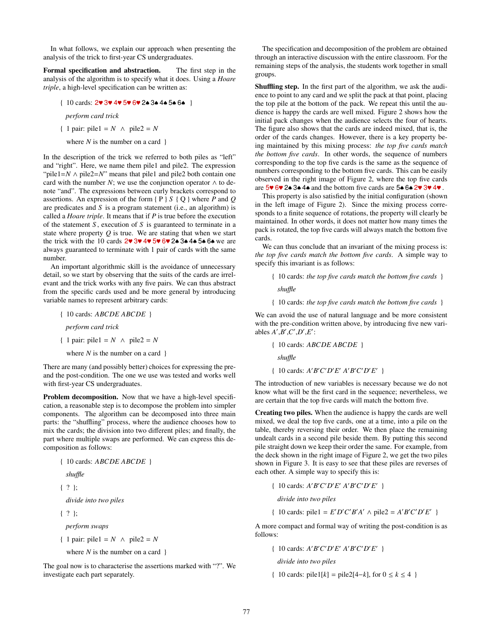In what follows, we explain our approach when presenting the analysis of the trick to first-year CS undergraduates.

Formal specification and abstraction. The first step in the analysis of the algorithm is to specify what it does. Using a *Hoare triple*, a high-level specification can be written as:

{ 10 cards: 2r 3r 4r 5r 6r 2♠ 3♠ 4♠ 5♠ 6♠ }

*perform card trick*

{ 1 pair: pile1 =  $N \triangle$  pile2 =  $N$ 

where  $N$  is the number on a card  $\}$ 

In the description of the trick we referred to both piles as "left" and "right". Here, we name them pile1 and pile2. The expression "pile1= $N \wedge$  pile2= $N$ " means that pile1 and pile2 both contain one card with the number *N*; we use the conjunction operator  $\land$  to denote "and". The expressions between curly brackets correspond to assertions. An expression of the form { P } *S* { Q } where *P* and *Q* are predicates and *S* is a program statement (i.e., an algorithm) is called a *Hoare triple*. It means that if *P* is true before the execution of the statement *S* , execution of *S* is guaranteed to terminate in a state where property  $Q$  is true. We are stating that when we start the trick with the 10 cards  $2 \times 3 \times 4 \times 5 \times 6 \times 3$  4 4 5 4 5 6 % we are always guaranteed to terminate with 1 pair of cards with the same number.

An important algorithmic skill is the avoidance of unnecessary detail, so we start by observing that the suits of the cards are irrelevant and the trick works with any five pairs. We can thus abstract from the specific cards used and be more general by introducing variable names to represent arbitrary cards:

{ 10 cards: *ABCDE ABCDE* }

*perform card trick*

{ 1 pair: pile1 =  $N \triangle$  pile2 =  $N$ 

where  $N$  is the number on a card  $\}$ 

There are many (and possibly better) choices for expressing the preand the post-condition. The one we use was tested and works well with first-year CS undergraduates.

Problem decomposition. Now that we have a high-level specification, a reasonable step is to decompose the problem into simpler components. The algorithm can be decomposed into three main parts: the "shuffling" process, where the audience chooses how to mix the cards; the division into two different piles; and finally, the part where multiple swaps are performed. We can express this decomposition as follows:

{ 10 cards: *ABCDE ABCDE* }

*shu*ffl*e*

$$
\{\ ?\ \};
$$

*divide into two piles*

{ ? };

*perform swaps*

- { 1 pair: pile1 =  $N \triangle$  pile2 =  $N$
- where  $N$  is the number on a card  $\}$

The goal now is to characterise the assertions marked with "?". We investigate each part separately.

The specification and decomposition of the problem are obtained through an interactive discussion with the entire classroom. For the remaining steps of the analysis, the students work together in small groups.

Shuffling step. In the first part of the algorithm, we ask the audience to point to any card and we split the pack at that point, placing the top pile at the bottom of the pack. We repeat this until the audience is happy the cards are well mixed. Figure 2 shows how the initial pack changes when the audience selects the four of hearts. The figure also shows that the cards are indeed mixed, that is, the order of the cards changes. However, there is a key property being maintained by this mixing process: *the top five cards match the bottom five cards*. In other words, the sequence of numbers corresponding to the top five cards is the same as the sequence of numbers corresponding to the bottom five cards. This can be easily observed in the right image of Figure 2, where the top five cards are  $5 \times 6 \times 2 \cdot 3 \cdot 4 \cdot 4$  and the bottom five cards are  $5 \cdot 6 \cdot 2 \cdot 3 \cdot 4 \cdot 1$ .

This property is also satisfied by the initial configuration (shown in the left image of Figure 2). Since the mixing process corresponds to a finite sequence of rotations, the property will clearly be maintained. In other words, it does not matter how many times the pack is rotated, the top five cards will always match the bottom five cards.

We can thus conclude that an invariant of the mixing process is: *the top five cards match the bottom five cards*. A simple way to specify this invariant is as follows:

{ 10 cards: *the top five cards match the bottom five cards* } *shu*ffl*e*

{ 10 cards: *the top five cards match the bottom five cards* }

We can avoid the use of natural language and be more consistent with the pre-condition written above, by introducing five new variables  $A', B', C', D', E'$ :

{ 10 cards: *ABCDE ABCDE* }

*shu*ffl*e*

{ 10 cards: *A* ′*B* ′*C* ′*D* ′*E* ′ *A* ′*B* ′*C* ′*D* ′*E* ′ }

The introduction of new variables is necessary because we do not know what will be the first card in the sequence; nevertheless, we are certain that the top five cards will match the bottom five.

Creating two piles. When the audience is happy the cards are well mixed, we deal the top five cards, one at a time, into a pile on the table, thereby reversing their order. We then place the remaining undealt cards in a second pile beside them. By putting this second pile straight down we keep their order the same. For example, from the deck shown in the right image of Figure 2, we get the two piles shown in Figure 3. It is easy to see that these piles are reverses of each other. A simple way to specify this is:

{ 10 cards: *A'B'C'D'E' A'B'C'D'E'* }

*divide into two piles*

{ 10 cards: pile1 =  $E'D'C'B'A' \wedge$  pile2 =  $A'B'C'D'E'$ }

A more compact and formal way of writing the post-condition is as follows:

{ 10 cards: *A* ′*B* ′*C* ′*D* ′*E* ′ *A* ′*B* ′*C* ′*D* ′*E* ′ }

*divide into two piles*

{ 10 cards: pile1[ $k$ ] = pile2[4– $k$ ], for  $0 \le k \le 4$ }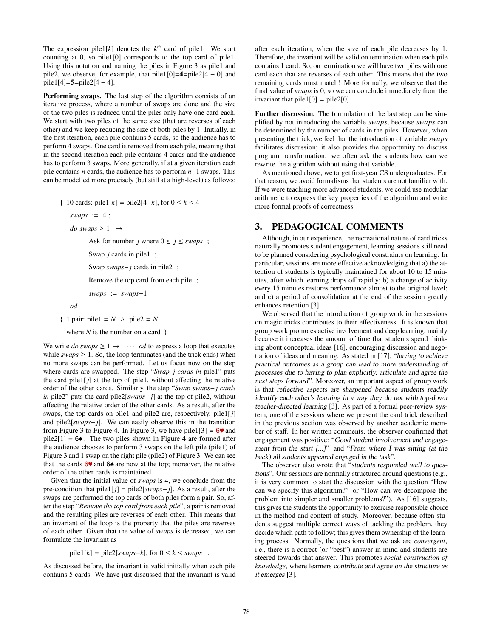The expression pile1[ $k$ ] denotes the  $k<sup>th</sup>$  card of pile1. We start counting at 0, so pile1[0] corresponds to the top card of pile1. Using this notation and naming the piles in Figure 3 as pile1 and pile2, we observe, for example, that pile1[0]=4=pile2[4 – 0] and  $pile1[4]=5=pile2[4-4].$ 

Performing swaps. The last step of the algorithm consists of an iterative process, where a number of swaps are done and the size of the two piles is reduced until the piles only have one card each. We start with two piles of the same size (that are reverses of each other) and we keep reducing the size of both piles by 1. Initially, in the first iteration, each pile contains 5 cards, so the audience has to perform 4 swaps. One card is removed from each pile, meaning that in the second iteration each pile contains 4 cards and the audience has to perform 3 swaps. More generally, if at a given iteration each pile contains *n* cards, the audience has to perform *n*−1 swaps. This can be modelled more precisely (but still at a high-level) as follows:

{ 10 cards: pile1[*k*] = pile2[4−*k*], for 0 ≤ *k* ≤ 4 } *swaps* := 4 ; *do swaps* ≥ 1 → Ask for number *j* where 0 ≤ *j* ≤ *swaps* ; Swap *j* cards in pile1 ; Swap *swaps*−*j* cards in pile2 ; Remove the top card from each pile ; *swaps* := *swaps*−1

*od*

{ 1 pair: pile1 =  $N \triangle$  pile2 =  $N$ 

where  $N$  is the number on a card  $\}$ 

We write  $do$  swaps  $\geq 1 \rightarrow \cdots$  *od* to express a loop that executes while  $swaps \geq 1$ . So, the loop terminates (and the trick ends) when no more swaps can be performed. Let us focus now on the step where cards are swapped. The step "*Swap j cards in* pile1" puts the card pile1[*j*] at the top of pile1, without affecting the relative order of the other cards. Similarly, the step "*Swap swaps*−*j cards in* pile2" puts the card pile2[*swaps*−*j*] at the top of pile2, without affecting the relative order of the other cards. As a result, after the swaps, the top cards on pile1 and pile2 are, respectively, pile1[*j*] and pile2[*swaps*−*j*]. We can easily observe this in the transition from Figure 3 to Figure 4. In Figure 3, we have pile1[3] =  $6\degree$  and  $pi$ le2[1] = 6 $\bullet$ . The two piles shown in Figure 4 are formed after the audience chooses to perform 3 swaps on the left pile (pile1) of Figure 3 and 1 swap on the right pile (pile2) of Figure 3. We can see that the cards  $6$  and  $6$  are now at the top; moreover, the relative order of the other cards is maintained.

Given that the initial value of *swaps* is 4, we conclude from the pre-condition that pile1[*j*] = pile2[*swaps*−*j*]. As a result, after the swaps are performed the top cards of both piles form a pair. So, after the step "*Remove the top card from each pile*", a pair is removed and the resulting piles are reverses of each other. This means that an invariant of the loop is the property that the piles are reverses of each other. Given that the value of *swaps* is decreased, we can formulate the invariant as

$$
pile1[k] = pile2[swaps-k], for 0 \le k \le swaps .
$$

As discussed before, the invariant is valid initially when each pile contains 5 cards. We have just discussed that the invariant is valid after each iteration, when the size of each pile decreases by 1. Therefore, the invariant will be valid on termination when each pile contains 1 card. So, on termination we will have two piles with one card each that are reverses of each other. This means that the two remaining cards must match! More formally, we observe that the final value of *swaps* is 0, so we can conclude immediately from the invariant that  $pi[0] = pile2[0]$ .

Further discussion. The formulation of the last step can be simplified by not introducing the variable *swaps*, because *swaps* can be determined by the number of cards in the piles. However, when presenting the trick, we feel that the introduction of variable *swaps* facilitates discussion; it also provides the opportunity to discuss program transformation: we often ask the students how can we rewrite the algorithm without using that variable.

As mentioned above, we target first-year CS undergraduates. For that reason, we avoid formalisms that students are not familiar with. If we were teaching more advanced students, we could use modular arithmetic to express the key properties of the algorithm and write more formal proofs of correctness.

# 3. PEDAGOGICAL COMMENTS

Although, in our experience, the recreational nature of card tricks naturally promotes student engagement, learning sessions still need to be planned considering psychological constraints on learning. In particular, sessions are more effective acknowledging that a) the attention of students is typically maintained for about 10 to 15 minutes, after which learning drops off rapidly; b) a change of activity every 15 minutes restores performance almost to the original level; and c) a period of consolidation at the end of the session greatly enhances retention [3].

We observed that the introduction of group work in the sessions on magic tricks contributes to their effectiveness. It is known that group work promotes active involvement and deep learning, mainly because it increases the amount of time that students spend thinking about conceptual ideas [16], encouraging discussion and negotiation of ideas and meaning. As stated in [17], "having to achieve practical outcomes as <sup>a</sup> group can lead to more understanding of processes due to having to plan explicitly, articulate and agree the next steps forward". Moreover, an important aspect of group work is that reflective aspects are sharpened because students readily identify each other's learning in <sup>a</sup> way they do not with top-down teacher-directed learning [3]. As part of a formal peer-review system, one of the sessions where we present the card trick described in the previous section was observed by another academic member of staff. In her written comments, the observer confirmed that engagement was positive: "Good student involvement and engagement from the start [...]" and "From where I was sitting (at the back) all students appeared engaged in the task".

The observer also wrote that "students responded well to questions". Our sessions are normally structured around questions (e.g., it is very common to start the discussion with the question "How can we specify this algorithm?" or "How can we decompose the problem into simpler and smaller problems?"). As [16] suggests, this gives the students the opportunity to exercise responsible choice in the method and content of study. Moreover, because often students suggest multiple correct ways of tackling the problem, they decide which path to follow; this gives them ownership of the learning process. Normally, the questions that we ask are *convergent*, i.e., there is a correct (or "best") answer in mind and students are steered towards that answer. This promotes *social construction of knowledge*, where learners contribute and agree on the structure as it emerges [3].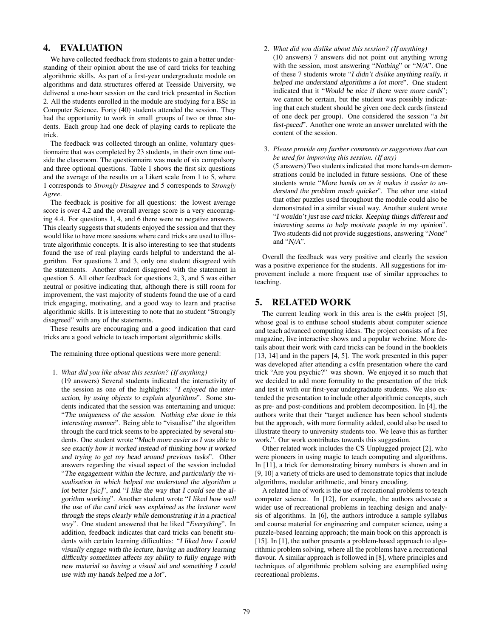# 4. EVALUATION

We have collected feedback from students to gain a better understanding of their opinion about the use of card tricks for teaching algorithmic skills. As part of a first-year undergraduate module on algorithms and data structures offered at Teesside University, we delivered a one-hour session on the card trick presented in Section 2. All the students enrolled in the module are studying for a BSc in Computer Science. Forty (40) students attended the session. They had the opportunity to work in small groups of two or three students. Each group had one deck of playing cards to replicate the trick.

The feedback was collected through an online, voluntary questionnaire that was completed by 23 students, in their own time outside the classroom. The questionnaire was made of six compulsory and three optional questions. Table 1 shows the first six questions and the average of the results on a Likert scale from 1 to 5, where 1 corresponds to *Strongly Disagree* and 5 corresponds to *Strongly Agree*.

The feedback is positive for all questions: the lowest average score is over 4.2 and the overall average score is a very encouraging 4.4. For questions 1, 4, and 6 there were no negative answers. This clearly suggests that students enjoyed the session and that they would like to have more sessions where card tricks are used to illustrate algorithmic concepts. It is also interesting to see that students found the use of real playing cards helpful to understand the algorithm. For questions 2 and 3, only one student disagreed with the statements. Another student disagreed with the statement in question 5. All other feedback for questions 2, 3, and 5 was either neutral or positive indicating that, although there is still room for improvement, the vast majority of students found the use of a card trick engaging, motivating, and a good way to learn and practise algorithmic skills. It is interesting to note that no student "Strongly disagreed" with any of the statements.

These results are encouraging and a good indication that card tricks are a good vehicle to teach important algorithmic skills.

The remaining three optional questions were more general:

1. *What did you like about this session? (If anything)*

(19 answers) Several students indicated the interactivity of the session as one of the highlights: "I enjoyed the interaction, by using objects to explain algorithms". Some students indicated that the session was entertaining and unique: "The uniqueness of the session. Nothing else done in this interesting manner". Being able to "visualise" the algorithm through the card trick seems to be appreciated by several students. One student wrote "Much more easier as <sup>I</sup> was able to see exactly how it worked instead of thinking how it worked and trying to get my head around previous tasks". Other answers regarding the visual aspect of the session included "The engagement within the lecture, and particularly the visualisation in which helped me understand the algorithm <sup>a</sup> lot better [sic]", and "I like the way that I could see the algorithm working". Another student wrote "<sup>I</sup> liked how well the use of the card trick was explained as the lecturer went through the steps clearly while demonstrating it in <sup>a</sup> practical way". One student answered that he liked "Everything". In addition, feedback indicates that card tricks can benefit students with certain learning difficulties: "<sup>I</sup> liked how <sup>I</sup> could visually engage with the lecture, having an auditory learning difficulty sometimes <sup>a</sup>ffects my ability to fully engage with new material so having <sup>a</sup> visual aid and something <sup>I</sup> could use with my hands helped me <sup>a</sup> lot".

- 2. *What did you dislike about this session? (If anything)* (10 answers) 7 answers did not point out anything wrong with the session, most answering "Nothing" or "N/A". One of these 7 students wrote "<sup>I</sup> didn't dislike anything really, it helped me understand algorithms <sup>a</sup> lot more". One student indicated that it "Would be nice if there were more cards"; we cannot be certain, but the student was possibly indicating that each student should be given one deck cards (instead of one deck per group). One considered the session "<sup>a</sup> bit fast-paced". Another one wrote an answer unrelated with the content of the session.
- 3. *Please provide any further comments or suggestions that can be used for improving this session. (If any)* (5 answers) Two students indicated that more hands-on demonstrations could be included in future sessions. One of these students wrote "More hands on as it makes it easier to understand the problem much quicker". The other one stated that other puzzles used throughout the module could also be demonstrated in a similar visual way. Another student wrote "<sup>I</sup> wouldn't just use card tricks. Keeping things different and interesting seems to help motivate people in my opinion". Two students did not provide suggestions, answering "None" and "N/A".

Overall the feedback was very positive and clearly the session was a positive experience for the students. All suggestions for improvement include a more frequent use of similar approaches to teaching.

### 5. RELATED WORK

The current leading work in this area is the cs4fn project [5], whose goal is to enthuse school students about computer science and teach advanced computing ideas. The project consists of a free magazine, live interactive shows and a popular webzine. More details about their work with card tricks can be found in the booklets [13, 14] and in the papers [4, 5]. The work presented in this paper was developed after attending a cs4fn presentation where the card trick "Are you psychic?" was shown. We enjoyed it so much that we decided to add more formality to the presentation of the trick and test it with our first-year undergraduate students. We also extended the presentation to include other algorithmic concepts, such as pre- and post-conditions and problem decomposition. In [4], the authors write that their "target audience has been school students but the approach, with more formality added, could also be used to illustrate theory to university students too. We leave this as further work.". Our work contributes towards this suggestion.

Other related work includes the CS Unplugged project [2], who were pioneers in using magic to teach computing and algorithms. In [11], a trick for demonstrating binary numbers is shown and in [9, 10] a variety of tricks are used to demonstrate topics that include algorithms, modular arithmetic, and binary encoding.

A related line of work is the use of recreational problems to teach computer science. In [12], for example, the authors advocate a wider use of recreational problems in teaching design and analysis of algorithms. In [6], the authors introduce a sample syllabus and course material for engineering and computer science, using a puzzle-based learning approach; the main book on this approach is [15]. In [1], the author presents a problem-based approach to algorithmic problem solving, where all the problems have a recreational flavour. A similar approach is followed in [8], where principles and techniques of algorithmic problem solving are exemplified using recreational problems.